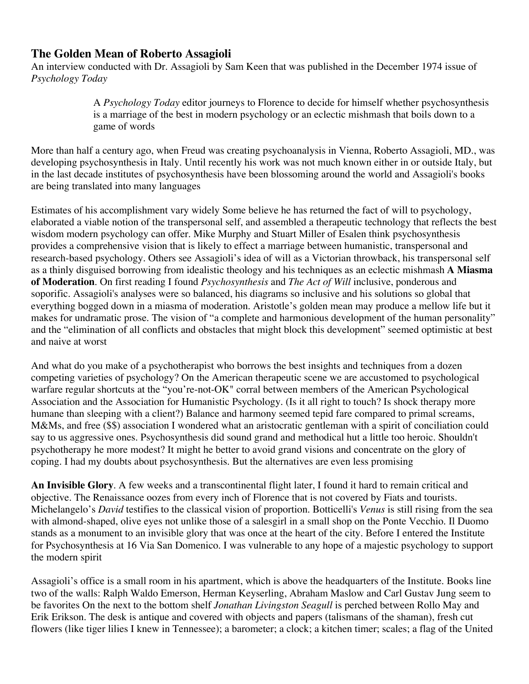## **The Golden Mean of Roberto Assagioli**

An interview conducted with Dr. Assagioli by Sam Keen that was published in the December 1974 issue of *Psychology Today*

> A *Psychology Today* editor journeys to Florence to decide for himself whether psychosynthesis is a marriage of the best in modern psychology or an eclectic mishmash that boils down to a game of words

More than half a century ago, when Freud was creating psychoanalysis in Vienna, Roberto Assagioli, MD., was developing psychosynthesis in Italy. Until recently his work was not much known either in or outside Italy, but in the last decade institutes of psychosynthesis have been blossoming around the world and Assagioli's books are being translated into many languages

Estimates of his accomplishment vary widely Some believe he has returned the fact of will to psychology, elaborated a viable notion of the transpersonal self, and assembled a therapeutic technology that reflects the best wisdom modern psychology can offer. Mike Murphy and Stuart Miller of Esalen think psychosynthesis provides a comprehensive vision that is likely to effect a marriage between humanistic, transpersonal and research-based psychology. Others see Assagioli's idea of will as a Victorian throwback, his transpersonal self as a thinly disguised borrowing from idealistic theology and his techniques as an eclectic mishmash **A Miasma of Moderation**. On first reading I found *Psychosynthesis* and *The Act of Will* inclusive, ponderous and soporific. Assagioli's analyses were so balanced, his diagrams so inclusive and his solutions so global that everything bogged down in a miasma of moderation. Aristotle's golden mean may produce a mellow life but it makes for undramatic prose. The vision of "a complete and harmonious development of the human personality" and the "elimination of all conflicts and obstacles that might block this development" seemed optimistic at best and naive at worst

And what do you make of a psychotherapist who borrows the best insights and techniques from a dozen competing varieties of psychology? On the American therapeutic scene we are accustomed to psychological warfare regular shortcuts at the "you're-not-OK" corral between members of the American Psychological Association and the Association for Humanistic Psychology. (Is it all right to touch? Is shock therapy more humane than sleeping with a client?) Balance and harmony seemed tepid fare compared to primal screams, M&Ms, and free (\$\$) association I wondered what an aristocratic gentleman with a spirit of conciliation could say to us aggressive ones. Psychosynthesis did sound grand and methodical hut a little too heroic. Shouldn't psychotherapy he more modest? It might he better to avoid grand visions and concentrate on the glory of coping. I had my doubts about psychosynthesis. But the alternatives are even less promising

**An Invisible Glory**. A few weeks and a transcontinental flight later, I found it hard to remain critical and objective. The Renaissance oozes from every inch of Florence that is not covered by Fiats and tourists. Michelangelo's *David* testifies to the classical vision of proportion. Botticelli's *Venus* is still rising from the sea with almond-shaped, olive eyes not unlike those of a salesgirl in a small shop on the Ponte Vecchio. Il Duomo stands as a monument to an invisible glory that was once at the heart of the city. Before I entered the Institute for Psychosynthesis at 16 Via San Domenico. I was vulnerable to any hope of a majestic psychology to support the modern spirit

Assagioli's office is a small room in his apartment, which is above the headquarters of the Institute. Books line two of the walls: Ralph Waldo Emerson, Herman Keyserling, Abraham Maslow and Carl Gustav Jung seem to be favorites On the next to the bottom shelf *Jonathan Livingston Seagull* is perched between Rollo May and Erik Erikson. The desk is antique and covered with objects and papers (talismans of the shaman), fresh cut flowers (like tiger lilies I knew in Tennessee); a barometer; a clock; a kitchen timer; scales; a flag of the United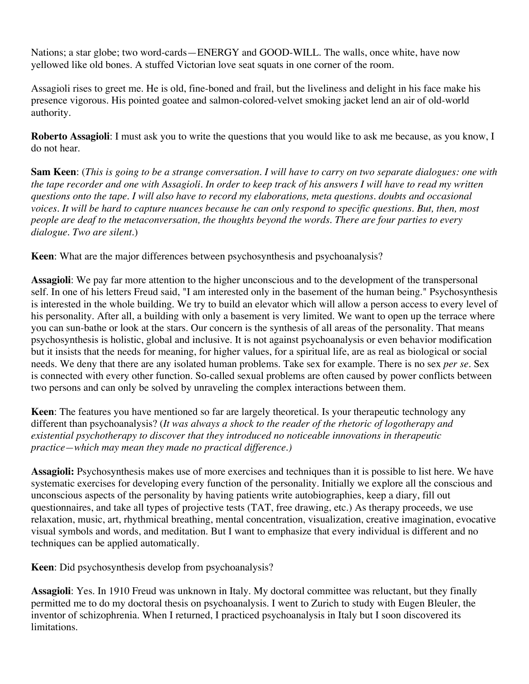Nations; a star globe; two word-cards—ENERGY and GOOD-WILL. The walls, once white, have now yellowed like old bones. A stuffed Victorian love seat squats in one corner of the room.

Assagioli rises to greet me. He is old, fine-boned and frail, but the liveliness and delight in his face make his presence vigorous. His pointed goatee and salmon-colored-velvet smoking jacket lend an air of old-world authority.

**Roberto Assagioli**: I must ask you to write the questions that you would like to ask me because, as you know, I do not hear.

**Sam Keen**: (*This is going to be a strange conversation. I will have to carry on two separate dialogues: one with the tape recorder and one with Assagioli. In order to keep track of his answers I will have to read my written questions onto the tape. I will also have to record my elaborations, meta questions. doubts and occasional voices. It will be hard to capture nuances because he can only respond to specific questions. But, then, most people are deaf to the metaconversation, the thoughts beyond the words. There are four parties to every dialogue. Two are silent*.)

**Keen**: What are the major differences between psychosynthesis and psychoanalysis?

**Assagioli**: We pay far more attention to the higher unconscious and to the development of the transpersonal self. In one of his letters Freud said, "I am interested only in the basement of the human being." Psychosynthesis is interested in the whole building. We try to build an elevator which will allow a person access to every level of his personality. After all, a building with only a basement is very limited. We want to open up the terrace where you can sun-bathe or look at the stars. Our concern is the synthesis of all areas of the personality. That means psychosynthesis is holistic, global and inclusive. It is not against psychoanalysis or even behavior modification but it insists that the needs for meaning, for higher values, for a spiritual life, are as real as biological or social needs. We deny that there are any isolated human problems. Take sex for example. There is no sex *per se*. Sex is connected with every other function. So-called sexual problems are often caused by power conflicts between two persons and can only be solved by unraveling the complex interactions between them.

**Keen**: The features you have mentioned so far are largely theoretical. Is your therapeutic technology any different than psychoanalysis? (*It was always a shock to the reader of the rhetoric of logotherapy and existential psychotherapy to discover that they introduced no noticeable innovations in therapeutic practice—which may mean they made no practical difference.)*

**Assagioli:** Psychosynthesis makes use of more exercises and techniques than it is possible to list here. We have systematic exercises for developing every function of the personality. Initially we explore all the conscious and unconscious aspects of the personality by having patients write autobiographies, keep a diary, fill out questionnaires, and take all types of projective tests (TAT, free drawing, etc.) As therapy proceeds, we use relaxation, music, art, rhythmical breathing, mental concentration, visualization, creative imagination, evocative visual symbols and words, and meditation. But I want to emphasize that every individual is different and no techniques can be applied automatically.

**Keen**: Did psychosynthesis develop from psychoanalysis?

**Assagioli**: Yes. In 1910 Freud was unknown in Italy. My doctoral committee was reluctant, but they finally permitted me to do my doctoral thesis on psychoanalysis. I went to Zurich to study with Eugen Bleuler, the inventor of schizophrenia. When I returned, I practiced psychoanalysis in Italy but I soon discovered its limitations.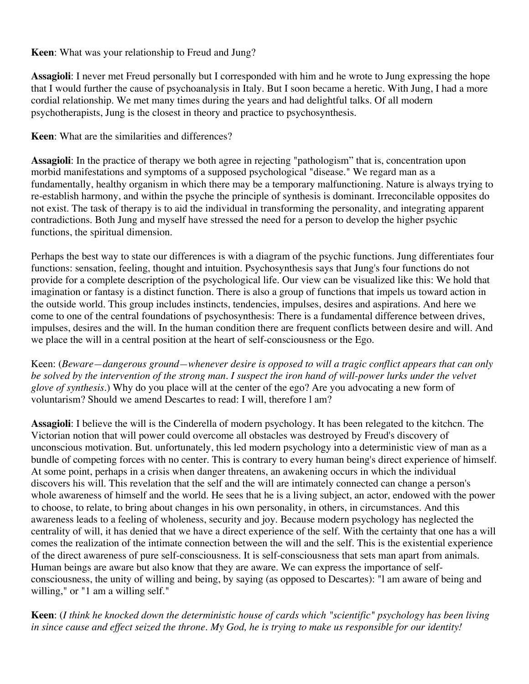## **Keen**: What was your relationship to Freud and Jung?

**Assagioli**: I never met Freud personally but I corresponded with him and he wrote to Jung expressing the hope that I would further the cause of psychoanalysis in Italy. But I soon became a heretic. With Jung, I had a more cordial relationship. We met many times during the years and had delightful talks. Of all modern psychotherapists, Jung is the closest in theory and practice to psychosynthesis.

## **Keen**: What are the similarities and differences?

**Assagioli**: In the practice of therapy we both agree in rejecting "pathologism" that is, concentration upon morbid manifestations and symptoms of a supposed psychological "disease." We regard man as a fundamentally, healthy organism in which there may be a temporary malfunctioning. Nature is always trying to re-establish harmony, and within the psyche the principle of synthesis is dominant. Irreconcilable opposites do not exist. The task of therapy is to aid the individual in transforming the personality, and integrating apparent contradictions. Both Jung and myself have stressed the need for a person to develop the higher psychic functions, the spiritual dimension.

Perhaps the best way to state our differences is with a diagram of the psychic functions. Jung differentiates four functions: sensation, feeling, thought and intuition. Psychosynthesis says that Jung's four functions do not provide for a complete description of the psychological life. Our view can be visualized like this: We hold that imagination or fantasy is a distinct function. There is also a group of functions that impels us toward action in the outside world. This group includes instincts, tendencies, impulses, desires and aspirations. And here we come to one of the central foundations of psychosynthesis: There is a fundamental difference between drives, impulses, desires and the will. In the human condition there are frequent conflicts between desire and will. And we place the will in a central position at the heart of self-consciousness or the Ego.

Keen: (*Beware—dangerous ground—whenever desire is opposed to will a tragic conflict appears that can only be solved by the intervention of the strong man. I suspect the iron hand of will-power lurks under the velvet glove of synthesis*.) Why do you place will at the center of the ego? Are you advocating a new form of voluntarism? Should we amend Descartes to read: I will, therefore l am?

**Assagioli**: I believe the will is the Cinderella of modern psychology. It has been relegated to the kitchcn. The Victorian notion that will power could overcome all obstacles was destroyed by Freud's discovery of unconscious motivation. But. unfortunately, this led modern psychology into a deterministic view of man as a bundle of competing forces with no center. This is contrary to every human being's direct experience of himself. At some point, perhaps in a crisis when danger threatens, an awakening occurs in which the individual discovers his will. This revelation that the self and the will are intimately connected can change a person's whole awareness of himself and the world. He sees that he is a living subject, an actor, endowed with the power to choose, to relate, to bring about changes in his own personality, in others, in circumstances. And this awareness leads to a feeling of wholeness, security and joy. Because modern psychology has neglected the centrality of will, it has denied that we have a direct experience of the self. With the certainty that one has a will comes the realization of the intimate connection between the will and the self. This is the existential experience of the direct awareness of pure self-consciousness. It is self-consciousness that sets man apart from animals. Human beings are aware but also know that they are aware. We can express the importance of selfconsciousness, the unity of willing and being, by saying (as opposed to Descartes): "l am aware of being and willing," or "1 am a willing self."

**Keen**: (*I think he knocked down the deterministic house of cards which "scientific" psychology has been living in since cause and effect seized the throne. My God, he is trying to make us responsible for our identity!*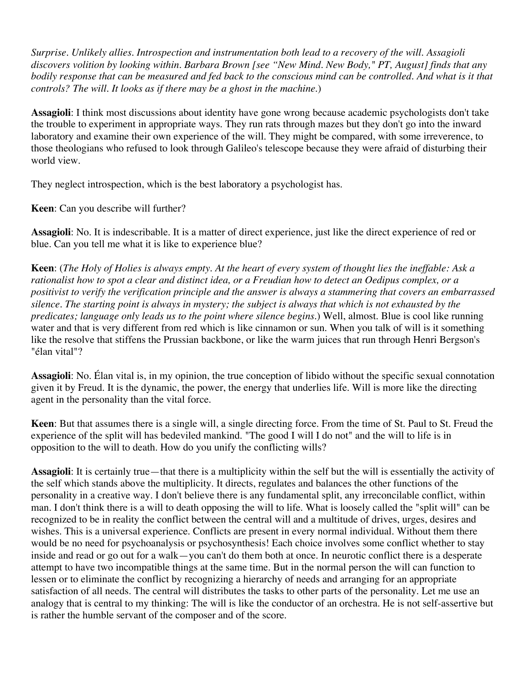*Surprise. Unlikely allies. Introspection and instrumentation both lead to a recovery of the will. Assagioli discovers volition by looking within. Barbara Brown [see "New Mind. New Body," PT, August] finds that any bodily response that can be measured and fed back to the conscious mind can be controlled. And what is it that controls? The will. It looks as if there may be a ghost in the machine*.)

**Assagioli**: I think most discussions about identity have gone wrong because academic psychologists don't take the trouble to experiment in appropriate ways. They run rats through mazes but they don't go into the inward laboratory and examine their own experience of the will. They might be compared, with some irreverence, to those theologians who refused to look through Galileo's telescope because they were afraid of disturbing their world view.

They neglect introspection, which is the best laboratory a psychologist has.

**Keen**: Can you describe will further?

**Assagioli**: No. It is indescribable. It is a matter of direct experience, just like the direct experience of red or blue. Can you tell me what it is like to experience blue?

**Keen**: (*The Holy of Holies is always empty. At the heart of every system of thought lies the ineffable: Ask a rationalist how to spot a clear and distinct idea, or a Freudian how to detect an Oedipus complex, or a positivist to verify the verification principle and the answer is always a stammering that covers an embarrassed silence. The starting point is always in mystery; the subject is always that which is not exhausted by the predicates; language only leads us to the point where silence begins*.) Well, almost. Blue is cool like running water and that is very different from red which is like cinnamon or sun. When you talk of will is it something like the resolve that stiffens the Prussian backbone, or like the warm juices that run through Henri Bergson's "élan vital"?

**Assagioli**: No. Élan vital is, in my opinion, the true conception of libido without the specific sexual connotation given it by Freud. It is the dynamic, the power, the energy that underlies life. Will is more like the directing agent in the personality than the vital force.

**Keen**: But that assumes there is a single will, a single directing force. From the time of St. Paul to St. Freud the experience of the split will has bedeviled mankind. "The good I will I do not" and the will to life is in opposition to the will to death. How do you unify the conflicting wills?

**Assagioli**: It is certainly true—that there is a multiplicity within the self but the will is essentially the activity of the self which stands above the multiplicity. It directs, regulates and balances the other functions of the personality in a creative way. I don't believe there is any fundamental split, any irreconcilable conflict, within man. I don't think there is a will to death opposing the will to life. What is loosely called the "split will" can be recognized to be in reality the conflict between the central will and a multitude of drives, urges, desires and wishes. This is a universal experience. Conflicts are present in every normal individual. Without them there would be no need for psychoanalysis or psychosynthesis! Each choice involves some conflict whether to stay inside and read or go out for a walk—you can't do them both at once. In neurotic conflict there is a desperate attempt to have two incompatible things at the same time. But in the normal person the will can function to lessen or to eliminate the conflict by recognizing a hierarchy of needs and arranging for an appropriate satisfaction of all needs. The central will distributes the tasks to other parts of the personality. Let me use an analogy that is central to my thinking: The will is like the conductor of an orchestra. He is not self-assertive but is rather the humble servant of the composer and of the score.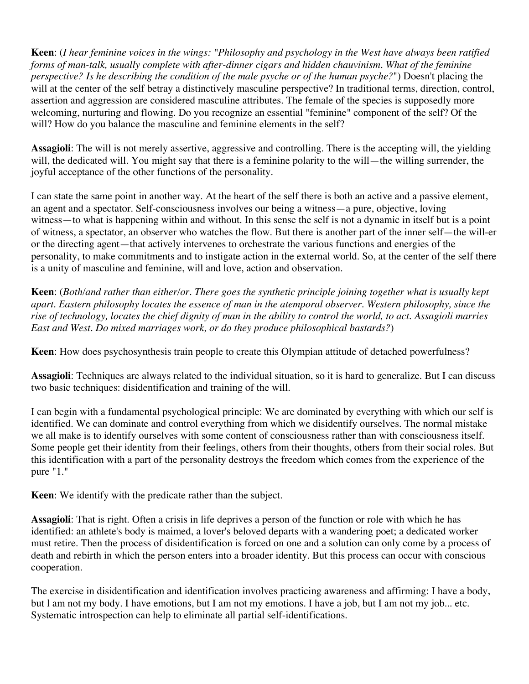**Keen**: (*I hear feminine voices in the wings: "Philosophy and psychology in the West have always been ratified forms of man-talk, usually complete with after-dinner cigars and hidden chauvinism. What of the feminine perspective? Is he describing the condition of the male psyche or of the human psyche?*") Doesn't placing the will at the center of the self betray a distinctively masculine perspective? In traditional terms, direction, control, assertion and aggression are considered masculine attributes. The female of the species is supposedly more welcoming, nurturing and flowing. Do you recognize an essential "feminine" component of the self? Of the will? How do you balance the masculine and feminine elements in the self?

**Assagioli**: The will is not merely assertive, aggressive and controlling. There is the accepting will, the yielding will, the dedicated will. You might say that there is a feminine polarity to the will—the willing surrender, the joyful acceptance of the other functions of the personality.

I can state the same point in another way. At the heart of the self there is both an active and a passive element, an agent and a spectator. Self-consciousness involves our being a witness—a pure, objective, loving witness—to what is happening within and without. In this sense the self is not a dynamic in itself but is a point of witness, a spectator, an observer who watches the flow. But there is another part of the inner self—the will-er or the directing agent—that actively intervenes to orchestrate the various functions and energies of the personality, to make commitments and to instigate action in the external world. So, at the center of the self there is a unity of masculine and feminine, will and love, action and observation.

**Keen**: (*Both/and rather than either/or. There goes the synthetic principle joining together what is usually kept apart. Eastern philosophy locates the essence of man in the atemporal observer. Western philosophy, since the rise of technology, locates the chief dignity of man in the ability to control the world, to act. Assagioli marries East and West. Do mixed marriages work, or do they produce philosophical bastards?*)

**Keen**: How does psychosynthesis train people to create this Olympian attitude of detached powerfulness?

**Assagioli**: Techniques are always related to the individual situation, so it is hard to generalize. But I can discuss two basic techniques: disidentification and training of the will.

I can begin with a fundamental psychological principle: We are dominated by everything with which our self is identified. We can dominate and control everything from which we disidentify ourselves. The normal mistake we all make is to identify ourselves with some content of consciousness rather than with consciousness itself. Some people get their identity from their feelings, others from their thoughts, others from their social roles. But this identification with a part of the personality destroys the freedom which comes from the experience of the pure "1."

**Keen**: We identify with the predicate rather than the subject.

**Assagioli**: That is right. Often a crisis in life deprives a person of the function or role with which he has identified: an athlete's body is maimed, a lover's beloved departs with a wandering poet; a dedicated worker must retire. Then the process of disidentification is forced on one and a solution can only come by a process of death and rebirth in which the person enters into a broader identity. But this process can occur with conscious cooperation.

The exercise in disidentification and identification involves practicing awareness and affirming: I have a body, but l am not my body. I have emotions, but I am not my emotions. I have a job, but I am not my job... etc. Systematic introspection can help to eliminate all partial self-identifications.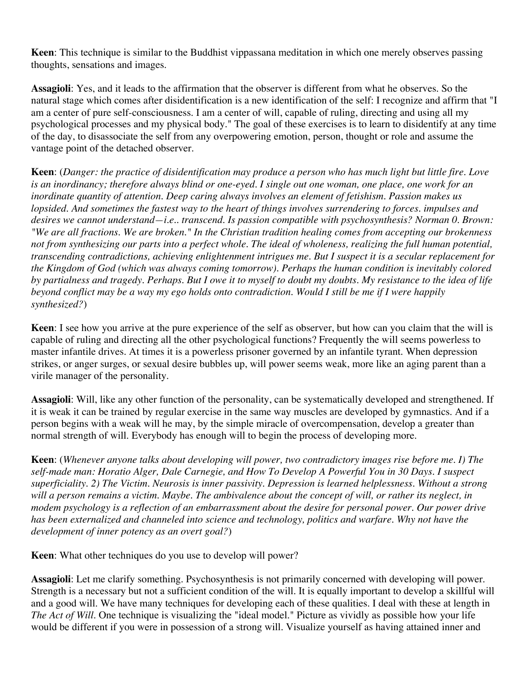**Keen**: This technique is similar to the Buddhist vippassana meditation in which one merely observes passing thoughts, sensations and images.

**Assagioli**: Yes, and it leads to the affirmation that the observer is different from what he observes. So the natural stage which comes after disidentification is a new identification of the self: I recognize and affirm that "I am a center of pure self-consciousness. I am a center of will, capable of ruling, directing and using all my psychological processes and my physical body." The goal of these exercises is to learn to disidentify at any time of the day, to disassociate the self from any overpowering emotion, person, thought or role and assume the vantage point of the detached observer.

**Keen**: (*Danger: the practice of disidentification may produce a person who has much light but little fire. Love is an inordinancy; therefore always blind or one-eyed. I single out one woman, one place, one work for an inordinate quantity of attention. Deep caring always involves an element of fetishism. Passion makes us lopsided. And sometimes the fastest way to the heart of things involves surrendering to forces. impulses and desires we cannot understand—i.e.. transcend. Is passion compatible with psychosynthesis? Norman 0. Brown: "We are all fractions. We are broken." In the Christian tradition healing comes from accepting our brokenness not from synthesizing our parts into a perfect whole. The ideal of wholeness, realizing the full human potential, transcending contradictions, achieving enlightenment intrigues me. But I suspect it is a secular replacement for the Kingdom of God (which was always coming tomorrow). Perhaps the human condition is inevitably colored by partialness and tragedy. Perhaps. But I owe it to myself to doubt my doubts. My resistance to the idea of life beyond conflict may be a way my ego holds onto contradiction. Would I still be me if I were happily synthesized?*)

**Keen**: I see how you arrive at the pure experience of the self as observer, but how can you claim that the will is capable of ruling and directing all the other psychological functions? Frequently the will seems powerless to master infantile drives. At times it is a powerless prisoner governed by an infantile tyrant. When depression strikes, or anger surges, or sexual desire bubbles up, will power seems weak, more like an aging parent than a virile manager of the personality.

**Assagioli**: Will, like any other function of the personality, can be systematically developed and strengthened. If it is weak it can be trained by regular exercise in the same way muscles are developed by gymnastics. And if a person begins with a weak will he may, by the simple miracle of overcompensation, develop a greater than normal strength of will. Everybody has enough will to begin the process of developing more.

**Keen**: (*Whenever anyone talks about developing will power, two contradictory images rise before me. I) The self-made man: Horatio Alger, Dale Carnegie, and How To Develop A Powerful You in 30 Days. I suspect superficiality. 2) The Victim. Neurosis is inner passivity. Depression is learned helplessness. Without a strong will a person remains a victim. Maybe. The ambivalence about the concept of will, or rather its neglect, in modem psychology is a reflection of an embarrassment about the desire for personal power. Our power drive has been externalized and channeled into science and technology, politics and warfare. Why not have the development of inner potency as an overt goal?*)

**Keen**: What other techniques do you use to develop will power?

**Assagioli**: Let me clarify something. Psychosynthesis is not primarily concerned with developing will power. Strength is a necessary but not a sufficient condition of the will. It is equally important to develop a skillful will and a good will. We have many techniques for developing each of these qualities. I deal with these at length in *The Act of Will*. One technique is visualizing the "ideal model." Picture as vividly as possible how your life would be different if you were in possession of a strong will. Visualize yourself as having attained inner and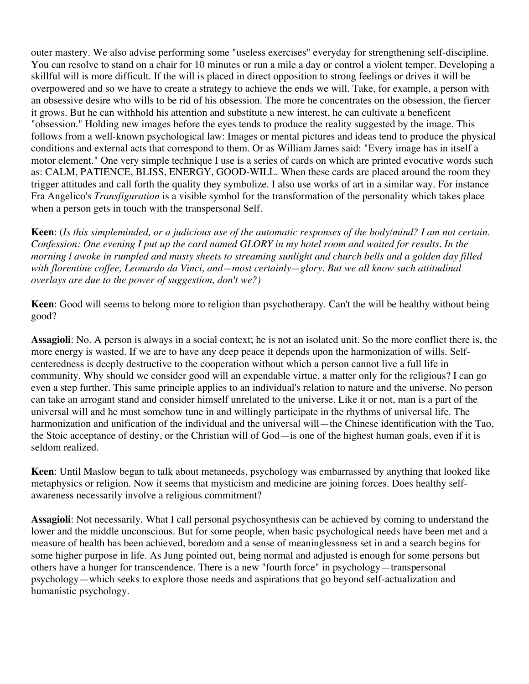outer mastery. We also advise performing some "useless exercises" everyday for strengthening self-discipline. You can resolve to stand on a chair for 10 minutes or run a mile a day or control a violent temper. Developing a skillful will is more difficult. If the will is placed in direct opposition to strong feelings or drives it will be overpowered and so we have to create a strategy to achieve the ends we will. Take, for example, a person with an obsessive desire who wills to be rid of his obsession. The more he concentrates on the obsession, the fiercer it grows. But he can withhold his attention and substitute a new interest, he can cultivate a beneficent "obsession." Holding new images before the eyes tends to produce the reality suggested by the image. This follows from a well-known psychological law: Images or mental pictures and ideas tend to produce the physical conditions and external acts that correspond to them. Or as William James said: "Every image has in itself a motor element." One very simple technique I use is a series of cards on which are printed evocative words such as: CALM, PATIENCE, BLISS, ENERGY, GOOD-WILL. When these cards are placed around the room they trigger attitudes and call forth the quality they symbolize. I also use works of art in a similar way. For instance Fra Angelico's *Transfiguration* is a visible symbol for the transformation of the personality which takes place when a person gets in touch with the transpersonal Self.

**Keen**: (*Is this simpleminded, or a judicious use of the automatic responses of the body/mind? I am not certain. Confession: One evening I put up the card named GLORY in my hotel room and waited for results. In the morning l awoke in rumpled and musty sheets to streaming sunlight and church bells and a golden day filled with florentine coffee, Leonardo da Vinci, and—most certainly—glory. But we all know such attitudinal overlays are due to the power of suggestion, don't we?)*

**Keen**: Good will seems to belong more to religion than psychotherapy. Can't the will be healthy without being good?

**Assagioli**: No. A person is always in a social context; he is not an isolated unit. So the more conflict there is, the more energy is wasted. If we are to have any deep peace it depends upon the harmonization of wills. Selfcenteredness is deeply destructive to the cooperation without which a person cannot live a full life in community. Why should we consider good will an expendable virtue, a matter only for the religious? I can go even a step further. This same principle applies to an individual's relation to nature and the universe. No person can take an arrogant stand and consider himself unrelated to the universe. Like it or not, man is a part of the universal will and he must somehow tune in and willingly participate in the rhythms of universal life. The harmonization and unification of the individual and the universal will—the Chinese identification with the Tao, the Stoic acceptance of destiny, or the Christian will of God—is one of the highest human goals, even if it is seldom realized.

**Keen**: Until Maslow began to talk about metaneeds, psychology was embarrassed by anything that looked like metaphysics or religion. Now it seems that mysticism and medicine are joining forces. Does healthy selfawareness necessarily involve a religious commitment?

**Assagioli**: Not necessarily. What I call personal psychosynthesis can be achieved by coming to understand the lower and the middle unconscious. But for some people, when basic psychological needs have been met and a measure of health has been achieved, boredom and a sense of meaninglessness set in and a search begins for some higher purpose in life. As Jung pointed out, being normal and adjusted is enough for some persons but others have a hunger for transcendence. There is a new "fourth force" in psychology—transpersonal psychology—which seeks to explore those needs and aspirations that go beyond self-actualization and humanistic psychology.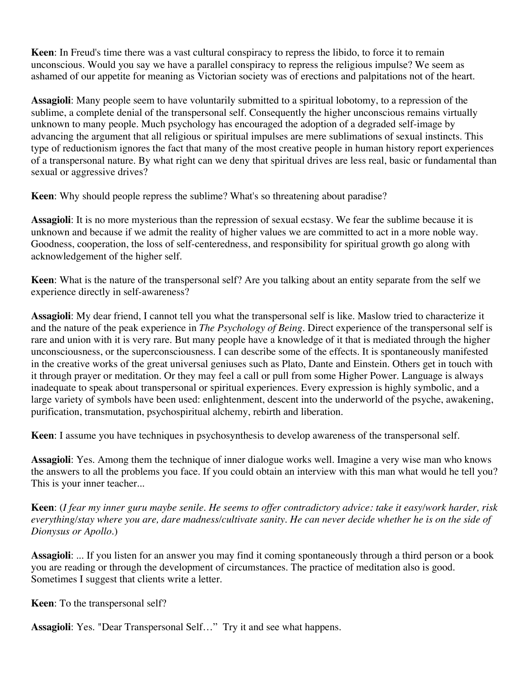**Keen**: In Freud's time there was a vast cultural conspiracy to repress the libido, to force it to remain unconscious. Would you say we have a parallel conspiracy to repress the religious impulse? We seem as ashamed of our appetite for meaning as Victorian society was of erections and palpitations not of the heart.

**Assagioli**: Many people seem to have voluntarily submitted to a spiritual lobotomy, to a repression of the sublime, a complete denial of the transpersonal self. Consequently the higher unconscious remains virtually unknown to many people. Much psychology has encouraged the adoption of a degraded self-image by advancing the argument that all religious or spiritual impulses are mere sublimations of sexual instincts. This type of reductionism ignores the fact that many of the most creative people in human history report experiences of a transpersonal nature. By what right can we deny that spiritual drives are less real, basic or fundamental than sexual or aggressive drives?

**Keen**: Why should people repress the sublime? What's so threatening about paradise?

**Assagioli**: It is no more mysterious than the repression of sexual ecstasy. We fear the sublime because it is unknown and because if we admit the reality of higher values we are committed to act in a more noble way. Goodness, cooperation, the loss of self-centeredness, and responsibility for spiritual growth go along with acknowledgement of the higher self.

**Keen**: What is the nature of the transpersonal self? Are you talking about an entity separate from the self we experience directly in self-awareness?

**Assagioli**: My dear friend, I cannot tell you what the transpersonal self is like. Maslow tried to characterize it and the nature of the peak experience in *The Psychology of Being*. Direct experience of the transpersonal self is rare and union with it is very rare. But many people have a knowledge of it that is mediated through the higher unconsciousness, or the superconsciousness. I can describe some of the effects. It is spontaneously manifested in the creative works of the great universal geniuses such as Plato, Dante and Einstein. Others get in touch with it through prayer or meditation. Or they may feel a call or pull from some Higher Power. Language is always inadequate to speak about transpersonal or spiritual experiences. Every expression is highly symbolic, and a large variety of symbols have been used: enlightenment, descent into the underworld of the psyche, awakening, purification, transmutation, psychospiritual alchemy, rebirth and liberation.

**Keen**: I assume you have techniques in psychosynthesis to develop awareness of the transpersonal self.

**Assagioli**: Yes. Among them the technique of inner dialogue works well. Imagine a very wise man who knows the answers to all the problems you face. If you could obtain an interview with this man what would he tell you? This is your inner teacher...

**Keen**: (*I fear my inner guru maybe senile. He seems to offer contradictory advice: take it easy/work harder, risk everything/stay where you are, dare madness/cultivate sanity. He can never decide whether he is on the side of Dionysus or Apollo*.)

**Assagioli**: ... If you listen for an answer you may find it coming spontaneously through a third person or a book you are reading or through the development of circumstances. The practice of meditation also is good. Sometimes I suggest that clients write a letter.

**Keen**: To the transpersonal self?

**Assagioli**: Yes. "Dear Transpersonal Self…" Try it and see what happens.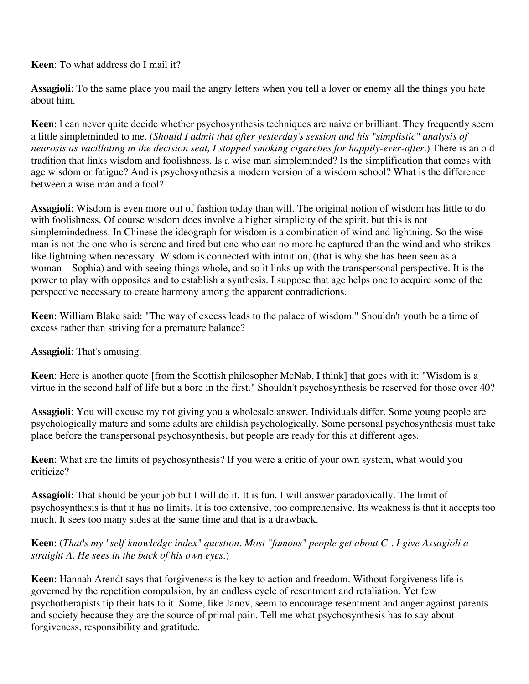**Keen**: To what address do I mail it?

**Assagioli**: To the same place you mail the angry letters when you tell a lover or enemy all the things you hate about him.

**Keen**: l can never quite decide whether psychosynthesis techniques are naive or brilliant. They frequently seem a little simpleminded to me. (*Should I admit that after yesterday's session and his "simplistic" analysis of neurosis as vacillating in the decision seat, I stopped smoking cigarettes for happily-ever-after*.) There is an old tradition that links wisdom and foolishness. Is a wise man simpleminded? Is the simplification that comes with age wisdom or fatigue? And is psychosynthesis a modern version of a wisdom school? What is the difference between a wise man and a fool?

**Assagioli**: Wisdom is even more out of fashion today than will. The original notion of wisdom has little to do with foolishness. Of course wisdom does involve a higher simplicity of the spirit, but this is not simplemindedness. In Chinese the ideograph for wisdom is a combination of wind and lightning. So the wise man is not the one who is serene and tired but one who can no more he captured than the wind and who strikes like lightning when necessary. Wisdom is connected with intuition, (that is why she has been seen as a woman—Sophia) and with seeing things whole, and so it links up with the transpersonal perspective. It is the power to play with opposites and to establish a synthesis. I suppose that age helps one to acquire some of the perspective necessary to create harmony among the apparent contradictions.

**Keen**: William Blake said: "The way of excess leads to the palace of wisdom." Shouldn't youth be a time of excess rather than striving for a premature balance?

**Assagioli**: That's amusing.

**Keen**: Here is another quote [from the Scottish philosopher McNab, I think] that goes with it: "Wisdom is a virtue in the second half of life but a bore in the first." Shouldn't psychosynthesis be reserved for those over 40?

**Assagioli**: You will excuse my not giving you a wholesale answer. Individuals differ. Some young people are psychologically mature and some adults are childish psychologically. Some personal psychosynthesis must take place before the transpersonal psychosynthesis, but people are ready for this at different ages.

**Keen**: What are the limits of psychosynthesis? If you were a critic of your own system, what would you criticize?

**Assagioli**: That should be your job but I will do it. It is fun. I will answer paradoxically. The limit of psychosynthesis is that it has no limits. It is too extensive, too comprehensive. Its weakness is that it accepts too much. It sees too many sides at the same time and that is a drawback.

**Keen**: (*That's my "self-knowledge index" question. Most "famous" people get about C-. I give Assagioli a straight A. He sees in the back of his own eyes*.)

**Keen**: Hannah Arendt says that forgiveness is the key to action and freedom. Without forgiveness life is governed by the repetition compulsion, by an endless cycle of resentment and retaliation. Yet few psychotherapists tip their hats to it. Some, like Janov, seem to encourage resentment and anger against parents and society because they are the source of primal pain. Tell me what psychosynthesis has to say about forgiveness, responsibility and gratitude.